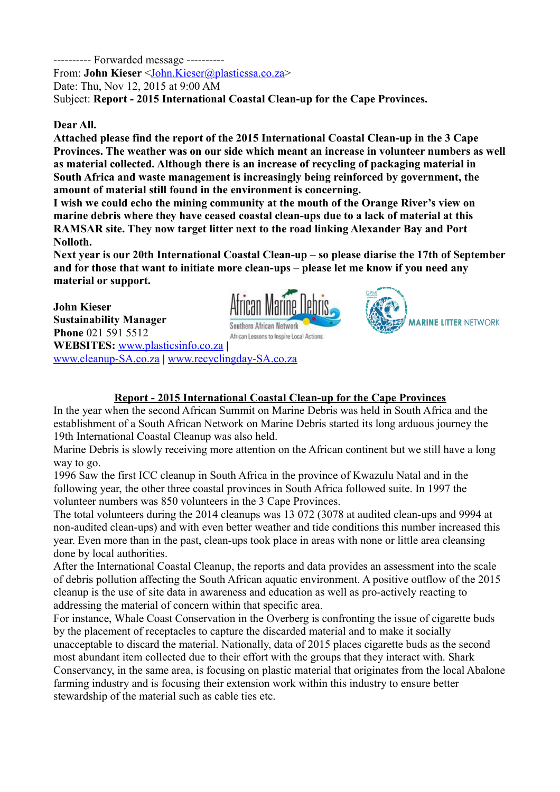---------- Forwarded message ----------

From: **John Kieser** <John.Kieser@plasticssa.co.za>

Date: Thu, Nov 12, 2015 at 9:00 AM

Subject: **Report - 2015 International Coastal Clean-up for the Cape Provinces.**

## **Dear All.**

**Attached please find the report of the 2015 International Coastal Clean-up in the 3 Cape Provinces. The weather was on our side which meant an increase in volunteer numbers as well as material collected. Although there is an increase of recycling of packaging material in South Africa and waste management is increasingly being reinforced by government, the amount of material still found in the environment is concerning.**

**I wish we could echo the mining community at the mouth of the Orange River's view on marine debris where they have ceased coastal clean-ups due to a lack of material at this RAMSAR site. They now target litter next to the road linking Alexander Bay and Port Nolloth.**

**Next year is our 20th International Coastal Clean-up – so please diarise the 17th of September and for those that want to initiate more clean-ups – please let me know if you need any material or support.**

**John Kieser Sustainability Manager** Southern African Network **Phone** 021 591 5512 African Lessons to Inspire Local Actions **WEBSITES:** www.plasticsinfo.co.za **|** www.cleanup-SA.co.za **|** [www.recyclingday-SA.co.za](http://www.recyclingday-SA.co.za/)





## **Report - 2015 International Coastal Clean-up for the Cape Provinces**

In the year when the second African Summit on Marine Debris was held in South Africa and the establishment of a South African Network on Marine Debris started its long arduous journey the 19th International Coastal Cleanup was also held.

Marine Debris is slowly receiving more attention on the African continent but we still have a long way to go.

1996 Saw the first ICC cleanup in South Africa in the province of Kwazulu Natal and in the following year, the other three coastal provinces in South Africa followed suite. In 1997 the volunteer numbers was 850 volunteers in the 3 Cape Provinces.

The total volunteers during the 2014 cleanups was 13 072 (3078 at audited clean-ups and 9994 at non-audited clean-ups) and with even better weather and tide conditions this number increased this year. Even more than in the past, clean-ups took place in areas with none or little area cleansing done by local authorities.

After the International Coastal Cleanup, the reports and data provides an assessment into the scale of debris pollution affecting the South African aquatic environment. A positive outflow of the 2015 cleanup is the use of site data in awareness and education as well as pro-actively reacting to addressing the material of concern within that specific area.

For instance, Whale Coast Conservation in the Overberg is confronting the issue of cigarette buds by the placement of receptacles to capture the discarded material and to make it socially unacceptable to discard the material. Nationally, data of 2015 places cigarette buds as the second most abundant item collected due to their effort with the groups that they interact with. Shark Conservancy, in the same area, is focusing on plastic material that originates from the local Abalone farming industry and is focusing their extension work within this industry to ensure better stewardship of the material such as cable ties etc.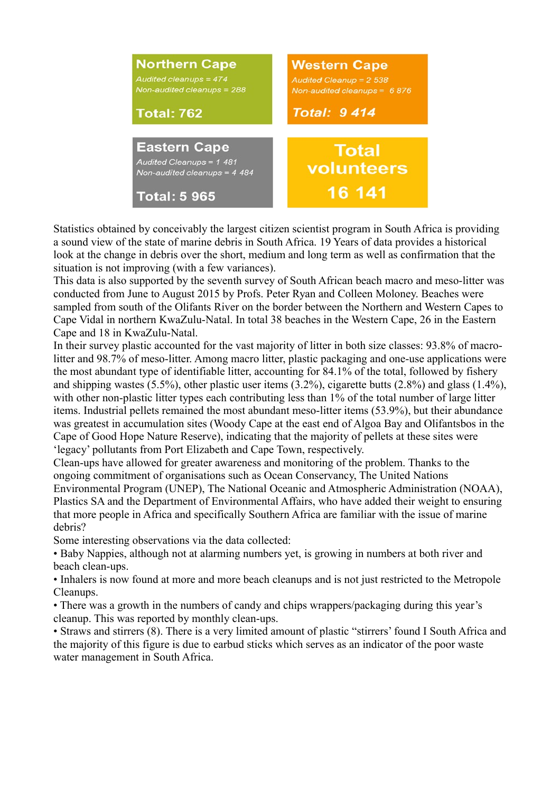

Statistics obtained by conceivably the largest citizen scientist program in South Africa is providing a sound view of the state of marine debris in South Africa. 19 Years of data provides a historical look at the change in debris over the short, medium and long term as well as confirmation that the situation is not improving (with a few variances).

This data is also supported by the seventh survey of South African beach macro and meso-litter was conducted from June to August 2015 by Profs. Peter Ryan and Colleen Moloney. Beaches were sampled from south of the Olifants River on the border between the Northern and Western Capes to Cape Vidal in northern KwaZulu-Natal. In total 38 beaches in the Western Cape, 26 in the Eastern Cape and 18 in KwaZulu-Natal.

In their survey plastic accounted for the vast majority of litter in both size classes: 93.8% of macrolitter and 98.7% of meso-litter. Among macro litter, plastic packaging and one-use applications were the most abundant type of identifiable litter, accounting for 84.1% of the total, followed by fishery and shipping wastes (5.5%), other plastic user items (3.2%), cigarette butts (2.8%) and glass (1.4%), with other non-plastic litter types each contributing less than 1% of the total number of large litter items. Industrial pellets remained the most abundant meso-litter items (53.9%), but their abundance was greatest in accumulation sites (Woody Cape at the east end of Algoa Bay and Olifantsbos in the Cape of Good Hope Nature Reserve), indicating that the majority of pellets at these sites were 'legacy' pollutants from Port Elizabeth and Cape Town, respectively.

Clean-ups have allowed for greater awareness and monitoring of the problem. Thanks to the ongoing commitment of organisations such as Ocean Conservancy, The United Nations Environmental Program (UNEP), The National Oceanic and Atmospheric Administration (NOAA), Plastics SA and the Department of Environmental Affairs, who have added their weight to ensuring that more people in Africa and specifically Southern Africa are familiar with the issue of marine debris?

Some interesting observations via the data collected:

• Baby Nappies, although not at alarming numbers yet, is growing in numbers at both river and beach clean-ups.

• Inhalers is now found at more and more beach cleanups and is not just restricted to the Metropole Cleanups.

• There was a growth in the numbers of candy and chips wrappers/packaging during this year's cleanup. This was reported by monthly clean-ups.

• Straws and stirrers (8). There is a very limited amount of plastic "stirrers' found I South Africa and the majority of this figure is due to earbud sticks which serves as an indicator of the poor waste water management in South Africa.